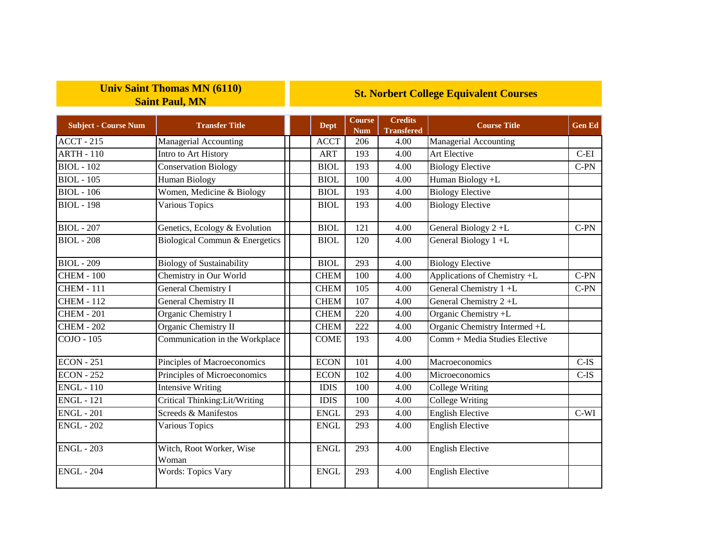## **Univ Saint Thomas MN (6110) Saint Paul, MN**

## **St. Norbert College Equivalent Courses**

| <b>Subject - Course Num</b> | <b>Transfer Title</b>             | Dept        | <b>Course</b><br><b>Num</b> | <b>Credits</b><br><b>Transfered</b> | <b>Course Title</b>           | <b>Gen Ed</b> |
|-----------------------------|-----------------------------------|-------------|-----------------------------|-------------------------------------|-------------------------------|---------------|
| <b>ACCT - 215</b>           | Managerial Accounting             | <b>ACCT</b> | 206                         | 4.00                                | Managerial Accounting         |               |
| <b>ARTH - 110</b>           | Intro to Art History              | <b>ART</b>  | 193                         | 4.00                                | Art Elective                  | $C-EI$        |
| <b>BIOL</b> - 102           | <b>Conservation Biology</b>       | <b>BIOL</b> | 193                         | 4.00                                | <b>Biology Elective</b>       | $C-PN$        |
| <b>BIOL</b> - 105           | Human Biology                     | <b>BIOL</b> | 100                         | 4.00                                | Human Biology +L              |               |
| <b>BIOL</b> - 106           | Women, Medicine & Biology         | <b>BIOL</b> | 193                         | 4.00                                | <b>Biology Elective</b>       |               |
| <b>BIOL</b> - 198           | Various Topics                    | <b>BIOL</b> | 193                         | 4.00                                | <b>Biology Elective</b>       |               |
| <b>BIOL</b> - 207           | Genetics, Ecology & Evolution     | <b>BIOL</b> | 121                         | 4.00                                | General Biology 2+L           | $C-PN$        |
| <b>BIOL</b> - 208           | Biological Commun & Energetics    | <b>BIOL</b> | 120                         | 4.00                                | General Biology 1+L           |               |
| $BIOL - 209$                | <b>Biology of Sustainability</b>  | <b>BIOL</b> | 293                         | 4.00                                | <b>Biology Elective</b>       |               |
| <b>CHEM - 100</b>           | Chemistry in Our World            | <b>CHEM</b> | 100                         | 4.00                                | Applications of Chemistry +L  | $C-PN$        |
| <b>CHEM - 111</b>           | General Chemistry I               | <b>CHEM</b> | 105                         | 4.00                                | General Chemistry 1+L         | $C-PN$        |
| <b>CHEM - 112</b>           | <b>General Chemistry II</b>       | <b>CHEM</b> | 107                         | 4.00                                | General Chemistry 2+L         |               |
| <b>CHEM - 201</b>           | Organic Chemistry I               | <b>CHEM</b> | 220                         | 4.00                                | Organic Chemistry +L          |               |
| <b>CHEM - 202</b>           | Organic Chemistry II              | <b>CHEM</b> | 222                         | 4.00                                | Organic Chemistry Intermed +L |               |
| COJO - 105                  | Communication in the Workplace    | <b>COME</b> | 193                         | 4.00                                | Comm + Media Studies Elective |               |
| <b>ECON - 251</b>           | Pinciples of Macroeconomics       | <b>ECON</b> | 101                         | 4.00                                | Macroeconomics                | $C-IS$        |
| <b>ECON - 252</b>           | Principles of Microeconomics      | <b>ECON</b> | 102                         | 4.00                                | Microeconomics                | $C-IS$        |
| <b>ENGL</b> - 110           | <b>Intensive Writing</b>          | <b>IDIS</b> | 100                         | 4.00                                | <b>College Writing</b>        |               |
| <b>ENGL - 121</b>           | Critical Thinking:Lit/Writing     | <b>IDIS</b> | 100                         | 4.00                                | <b>College Writing</b>        |               |
| <b>ENGL - 201</b>           | Screeds & Manifestos              | <b>ENGL</b> | 293                         | 4.00                                | <b>English Elective</b>       | $C-WI$        |
| <b>ENGL - 202</b>           | Various Topics                    | <b>ENGL</b> | 293                         | 4.00                                | <b>English Elective</b>       |               |
| <b>ENGL - 203</b>           | Witch, Root Worker, Wise<br>Woman | <b>ENGL</b> | 293                         | 4.00                                | <b>English Elective</b>       |               |
| <b>ENGL - 204</b>           | <b>Words: Topics Vary</b>         | <b>ENGL</b> | 293                         | 4.00                                | <b>English Elective</b>       |               |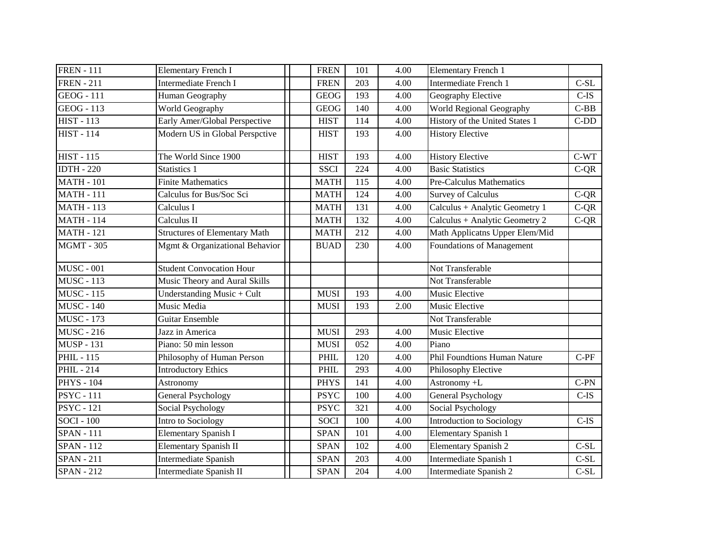| <b>FREN</b> - 111 | <b>Elementary French I</b>           | <b>FREN</b> | 101 | 4.00 | <b>Elementary French 1</b>      |         |
|-------------------|--------------------------------------|-------------|-----|------|---------------------------------|---------|
| <b>FREN</b> - 211 | Intermediate French I                | <b>FREN</b> | 203 | 4.00 | Intermediate French 1           | $C-SL$  |
| $GEOG - 111$      | Human Geography                      | <b>GEOG</b> | 193 | 4.00 | Geography Elective              | $C$ -IS |
| <b>GEOG</b> - 113 | World Geography                      | <b>GEOG</b> | 140 | 4.00 | World Regional Geography        | $C-BB$  |
| <b>HIST - 113</b> | Early Amer/Global Perspective        | <b>HIST</b> | 114 | 4.00 | History of the United States 1  | $C-DD$  |
| <b>HIST - 114</b> | Modern US in Global Perspctive       | <b>HIST</b> | 193 | 4.00 | <b>History Elective</b>         |         |
| <b>HIST - 115</b> | The World Since 1900                 | <b>HIST</b> | 193 | 4.00 | <b>History Elective</b>         | $C-WT$  |
| <b>IDTH - 220</b> | Statistics 1                         | <b>SSCI</b> | 224 | 4.00 | <b>Basic Statistics</b>         | $C-QR$  |
| <b>MATH - 101</b> | <b>Finite Mathematics</b>            | <b>MATH</b> | 115 | 4.00 | <b>Pre-Calculus Mathematics</b> |         |
| <b>MATH - 111</b> | Calculus for Bus/Soc Sci             | <b>MATH</b> | 124 | 4.00 | <b>Survey of Calculus</b>       | $C-QR$  |
| <b>MATH - 113</b> | Calculus I                           | <b>MATH</b> | 131 | 4.00 | Calculus + Analytic Geometry 1  | $C-QR$  |
| <b>MATH - 114</b> | Calculus II                          | <b>MATH</b> | 132 | 4.00 | Calculus + Analytic Geometry 2  | $C-QR$  |
| <b>MATH - 121</b> | <b>Structures of Elementary Math</b> | <b>MATH</b> | 212 | 4.00 | Math Applicatns Upper Elem/Mid  |         |
| <b>MGMT - 305</b> | Mgmt & Organizational Behavior       | <b>BUAD</b> | 230 | 4.00 | Foundations of Management       |         |
| <b>MUSC - 001</b> | <b>Student Convocation Hour</b>      |             |     |      | Not Transferable                |         |
| <b>MUSC - 113</b> | Music Theory and Aural Skills        |             |     |      | Not Transferable                |         |
| <b>MUSC - 115</b> | Understanding Music + Cult           | <b>MUSI</b> | 193 | 4.00 | Music Elective                  |         |
| <b>MUSC - 140</b> | Music Media                          | <b>MUSI</b> | 193 | 2.00 | Music Elective                  |         |
| <b>MUSC - 173</b> | <b>Guitar Ensemble</b>               |             |     |      | Not Transferable                |         |
| <b>MUSC - 216</b> | Jazz in America                      | <b>MUSI</b> | 293 | 4.00 | Music Elective                  |         |
| <b>MUSP - 131</b> | Piano: 50 min lesson                 | <b>MUSI</b> | 052 | 4.00 | Piano                           |         |
| <b>PHIL - 115</b> | Philosophy of Human Person           | PHIL        | 120 | 4.00 | Phil Foundtions Human Nature    | $C-PF$  |
| <b>PHIL-214</b>   | <b>Introductory Ethics</b>           | <b>PHIL</b> | 293 | 4.00 | Philosophy Elective             |         |
| <b>PHYS - 104</b> | Astronomy                            | <b>PHYS</b> | 141 | 4.00 | Astronomy +L                    | $C-PN$  |
| <b>PSYC</b> - 111 | <b>General Psychology</b>            | <b>PSYC</b> | 100 | 4.00 | General Psychology              | $C-IS$  |
| <b>PSYC</b> - 121 | Social Psychology                    | <b>PSYC</b> | 321 | 4.00 | Social Psychology               |         |
| <b>SOCI</b> - 100 | Intro to Sociology                   | <b>SOCI</b> | 100 | 4.00 | Introduction to Sociology       | $C$ -IS |
| <b>SPAN - 111</b> | <b>Elementary Spanish I</b>          | <b>SPAN</b> | 101 | 4.00 | <b>Elementary Spanish 1</b>     |         |
| <b>SPAN - 112</b> | <b>Elementary Spanish II</b>         | <b>SPAN</b> | 102 | 4.00 | <b>Elementary Spanish 2</b>     | $C-SL$  |
| <b>SPAN - 211</b> | <b>Intermediate Spanish</b>          | <b>SPAN</b> | 203 | 4.00 | Intermediate Spanish 1          | $C-SL$  |
| <b>SPAN - 212</b> | Intermediate Spanish II              | <b>SPAN</b> | 204 | 4.00 | Intermediate Spanish 2          | $C-SL$  |